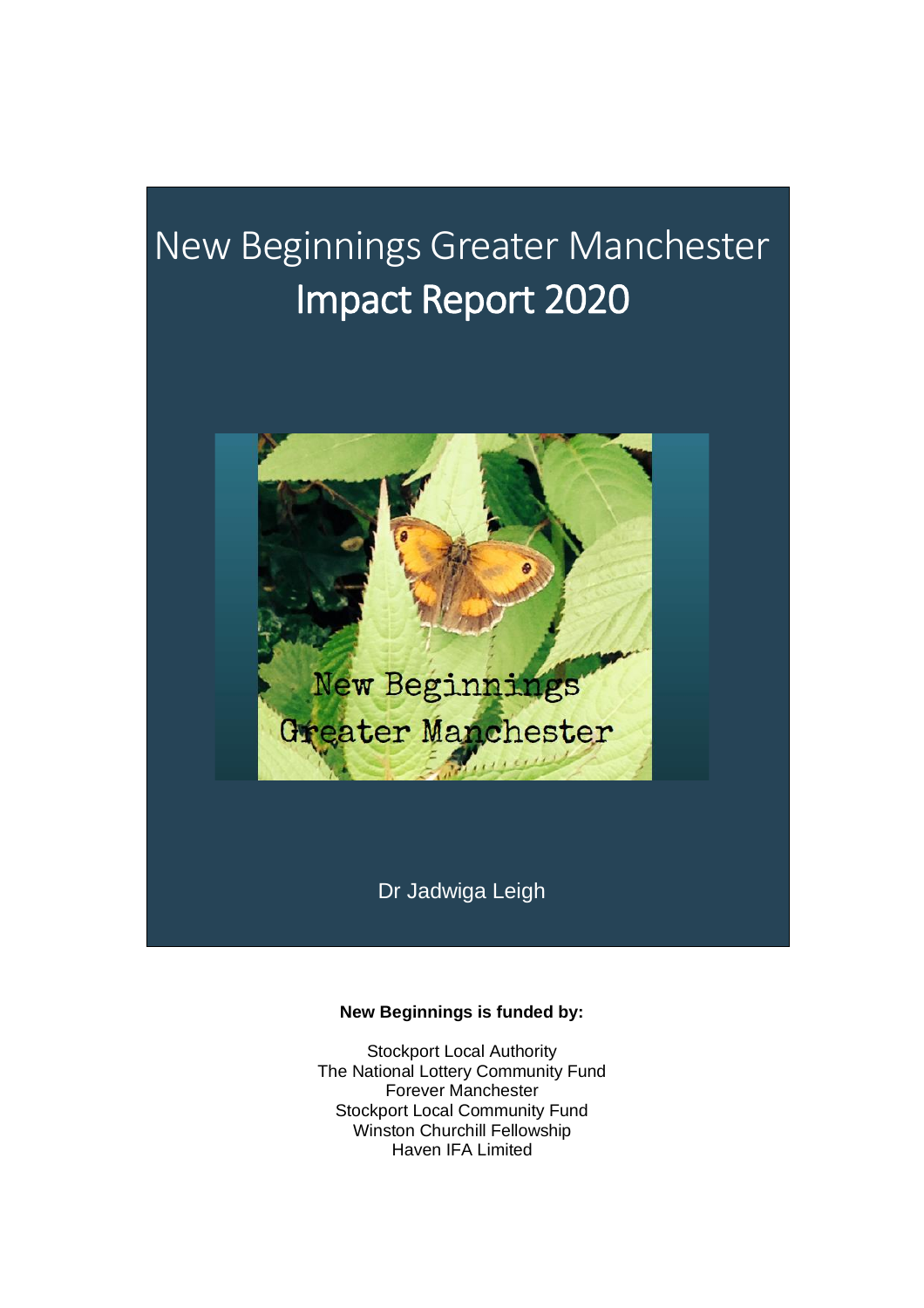# New Beginnings Greater Manchester Impact Report 2020



Dr Jadwiga Leigh

#### **New Beginnings is funded by:**

Stockport Local Authority The National Lottery Community Fund Forever Manchester Stockport Local Community Fund Winston Churchill Fellowship Haven IFA Limited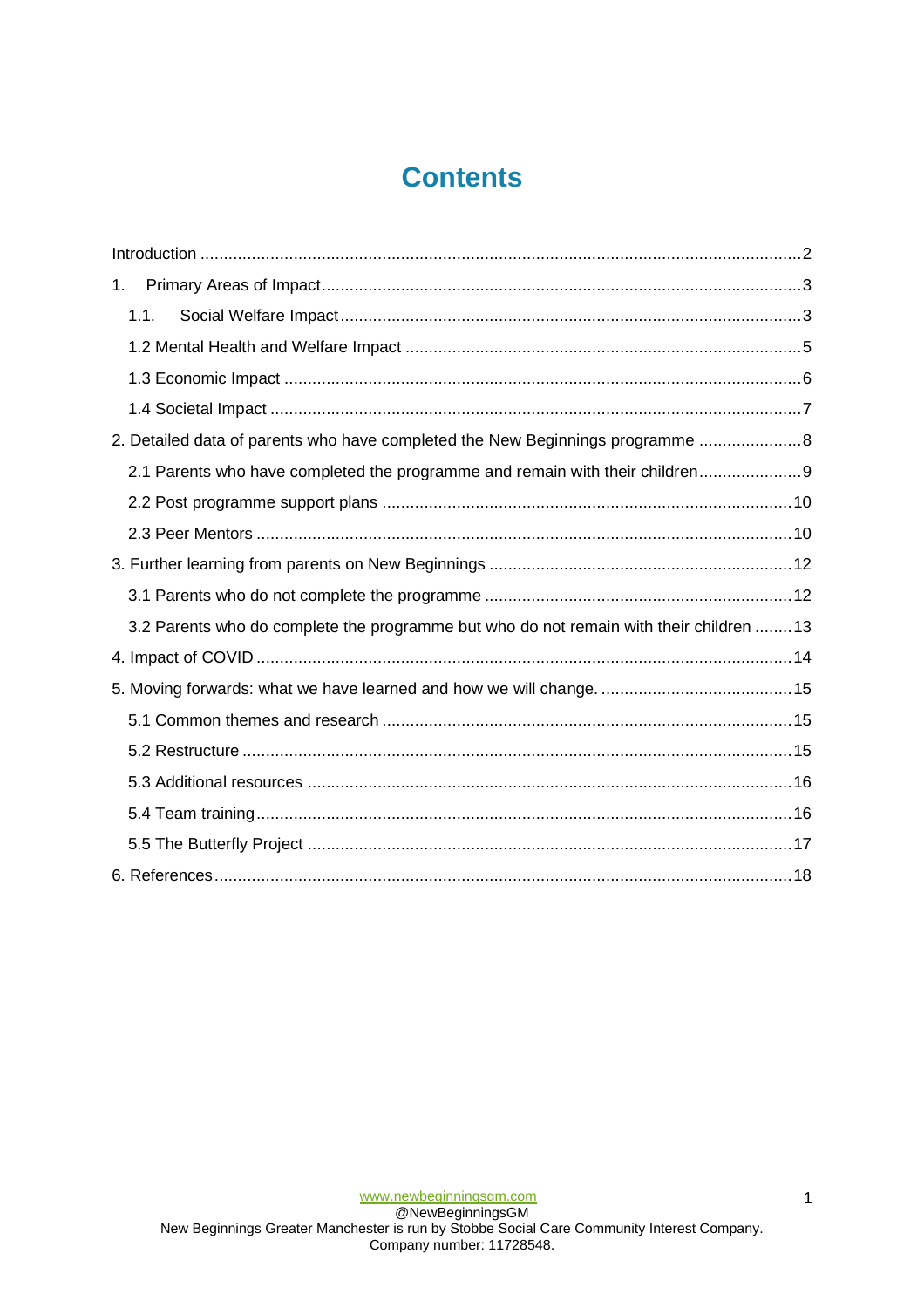# **Contents**

| 1.                                                                                     |  |
|----------------------------------------------------------------------------------------|--|
| 1.1.                                                                                   |  |
|                                                                                        |  |
|                                                                                        |  |
|                                                                                        |  |
| 2. Detailed data of parents who have completed the New Beginnings programme  8         |  |
| 2.1 Parents who have completed the programme and remain with their children            |  |
|                                                                                        |  |
|                                                                                        |  |
|                                                                                        |  |
|                                                                                        |  |
| 3.2 Parents who do complete the programme but who do not remain with their children 13 |  |
|                                                                                        |  |
|                                                                                        |  |
|                                                                                        |  |
|                                                                                        |  |
|                                                                                        |  |
|                                                                                        |  |
|                                                                                        |  |
|                                                                                        |  |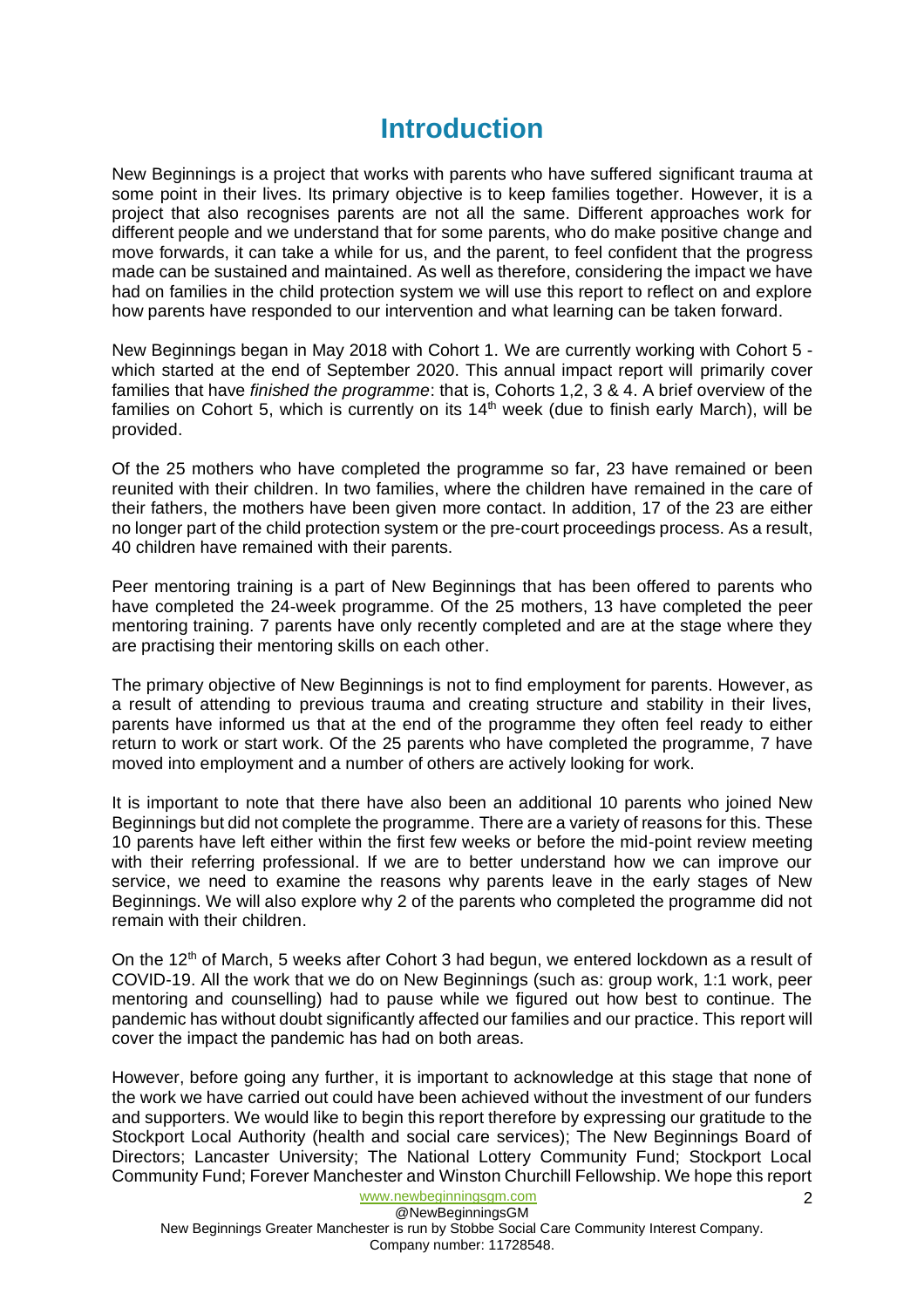## **Introduction**

<span id="page-2-0"></span>New Beginnings is a project that works with parents who have suffered significant trauma at some point in their lives. Its primary objective is to keep families together. However, it is a project that also recognises parents are not all the same. Different approaches work for different people and we understand that for some parents, who do make positive change and move forwards, it can take a while for us, and the parent, to feel confident that the progress made can be sustained and maintained. As well as therefore, considering the impact we have had on families in the child protection system we will use this report to reflect on and explore how parents have responded to our intervention and what learning can be taken forward.

New Beginnings began in May 2018 with Cohort 1. We are currently working with Cohort 5 which started at the end of September 2020. This annual impact report will primarily cover families that have *finished the programme*: that is, Cohorts 1,2, 3 & 4. A brief overview of the families on Cohort 5, which is currently on its  $14<sup>th</sup>$  week (due to finish early March), will be provided.

Of the 25 mothers who have completed the programme so far, 23 have remained or been reunited with their children. In two families, where the children have remained in the care of their fathers, the mothers have been given more contact. In addition, 17 of the 23 are either no longer part of the child protection system or the pre-court proceedings process. As a result, 40 children have remained with their parents.

Peer mentoring training is a part of New Beginnings that has been offered to parents who have completed the 24-week programme. Of the 25 mothers, 13 have completed the peer mentoring training. 7 parents have only recently completed and are at the stage where they are practising their mentoring skills on each other.

The primary objective of New Beginnings is not to find employment for parents. However, as a result of attending to previous trauma and creating structure and stability in their lives, parents have informed us that at the end of the programme they often feel ready to either return to work or start work. Of the 25 parents who have completed the programme, 7 have moved into employment and a number of others are actively looking for work.

It is important to note that there have also been an additional 10 parents who joined New Beginnings but did not complete the programme. There are a variety of reasons for this. These 10 parents have left either within the first few weeks or before the mid-point review meeting with their referring professional. If we are to better understand how we can improve our service, we need to examine the reasons why parents leave in the early stages of New Beginnings. We will also explore why 2 of the parents who completed the programme did not remain with their children.

On the 12<sup>th</sup> of March, 5 weeks after Cohort 3 had begun, we entered lockdown as a result of COVID-19. All the work that we do on New Beginnings (such as: group work, 1:1 work, peer mentoring and counselling) had to pause while we figured out how best to continue. The pandemic has without doubt significantly affected our families and our practice. This report will cover the impact the pandemic has had on both areas.

[www.newbeginningsgm.com](http://www.newbeginningsgm.com/) However, before going any further, it is important to acknowledge at this stage that none of the work we have carried out could have been achieved without the investment of our funders and supporters. We would like to begin this report therefore by expressing our gratitude to the Stockport Local Authority (health and social care services); The New Beginnings Board of Directors; Lancaster University; The National Lottery Community Fund; Stockport Local Community Fund; Forever Manchester and Winston Churchill Fellowship. We hope this report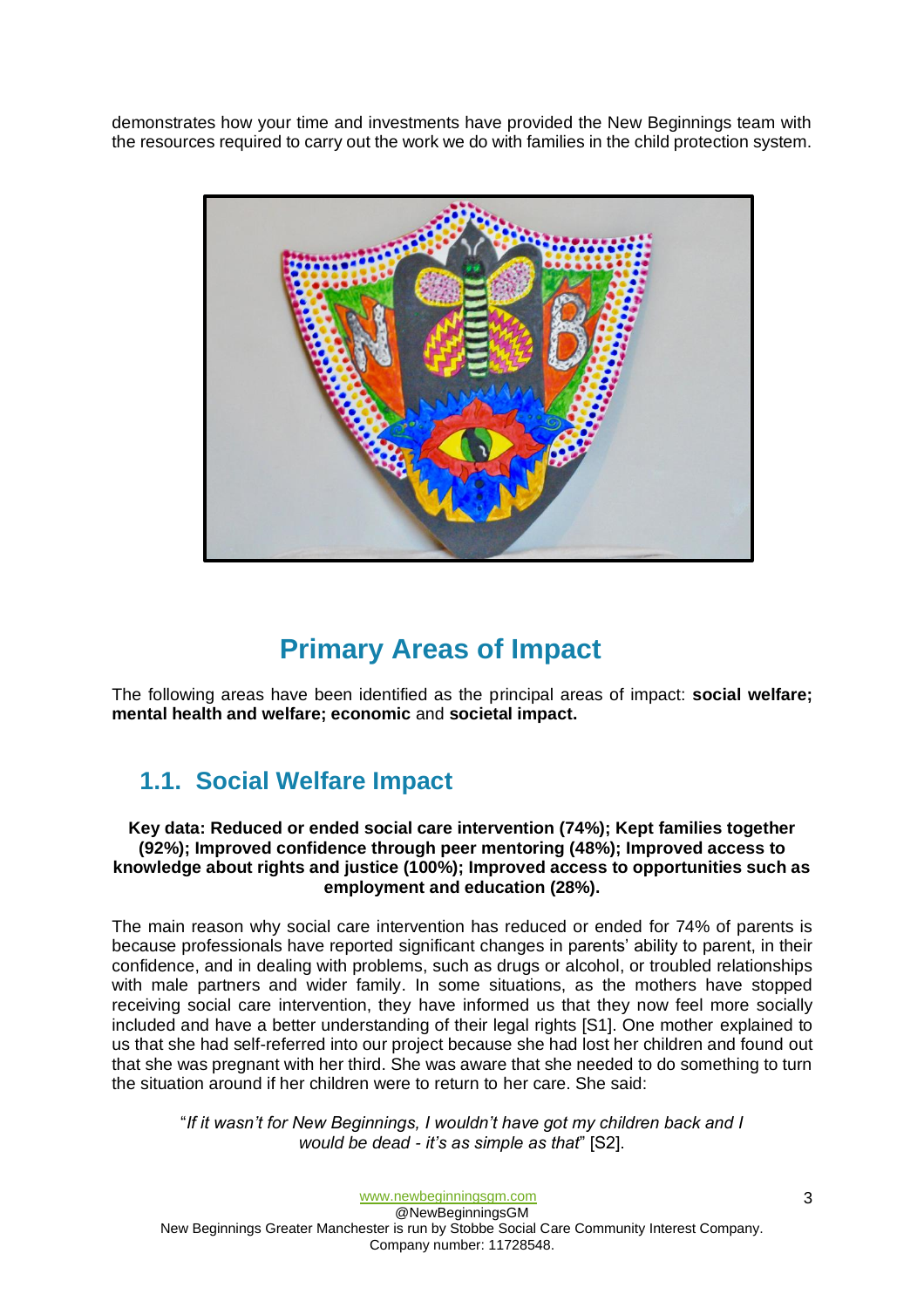demonstrates how your time and investments have provided the New Beginnings team with the resources required to carry out the work we do with families in the child protection system.

<span id="page-3-0"></span>

# **Primary Areas of Impact**

The following areas have been identified as the principal areas of impact: **social welfare; mental health and welfare; economic** and **societal impact.**

### <span id="page-3-1"></span>**1.1. Social Welfare Impact**

#### **Key data: Reduced or ended social care intervention (74%); Kept families together (92%); Improved confidence through peer mentoring (48%); Improved access to knowledge about rights and justice (100%); Improved access to opportunities such as employment and education (28%).**

The main reason why social care intervention has reduced or ended for 74% of parents is because professionals have reported significant changes in parents' ability to parent, in their confidence, and in dealing with problems, such as drugs or alcohol, or troubled relationships with male partners and wider family. In some situations, as the mothers have stopped receiving social care intervention, they have informed us that they now feel more socially included and have a better understanding of their legal rights [S1]. One mother explained to us that she had self-referred into our project because she had lost her children and found out that she was pregnant with her third. She was aware that she needed to do something to turn the situation around if her children were to return to her care. She said:

"*If it wasn't for New Beginnings, I wouldn't have got my children back and I would be dead - it's as simple as that*" [S2].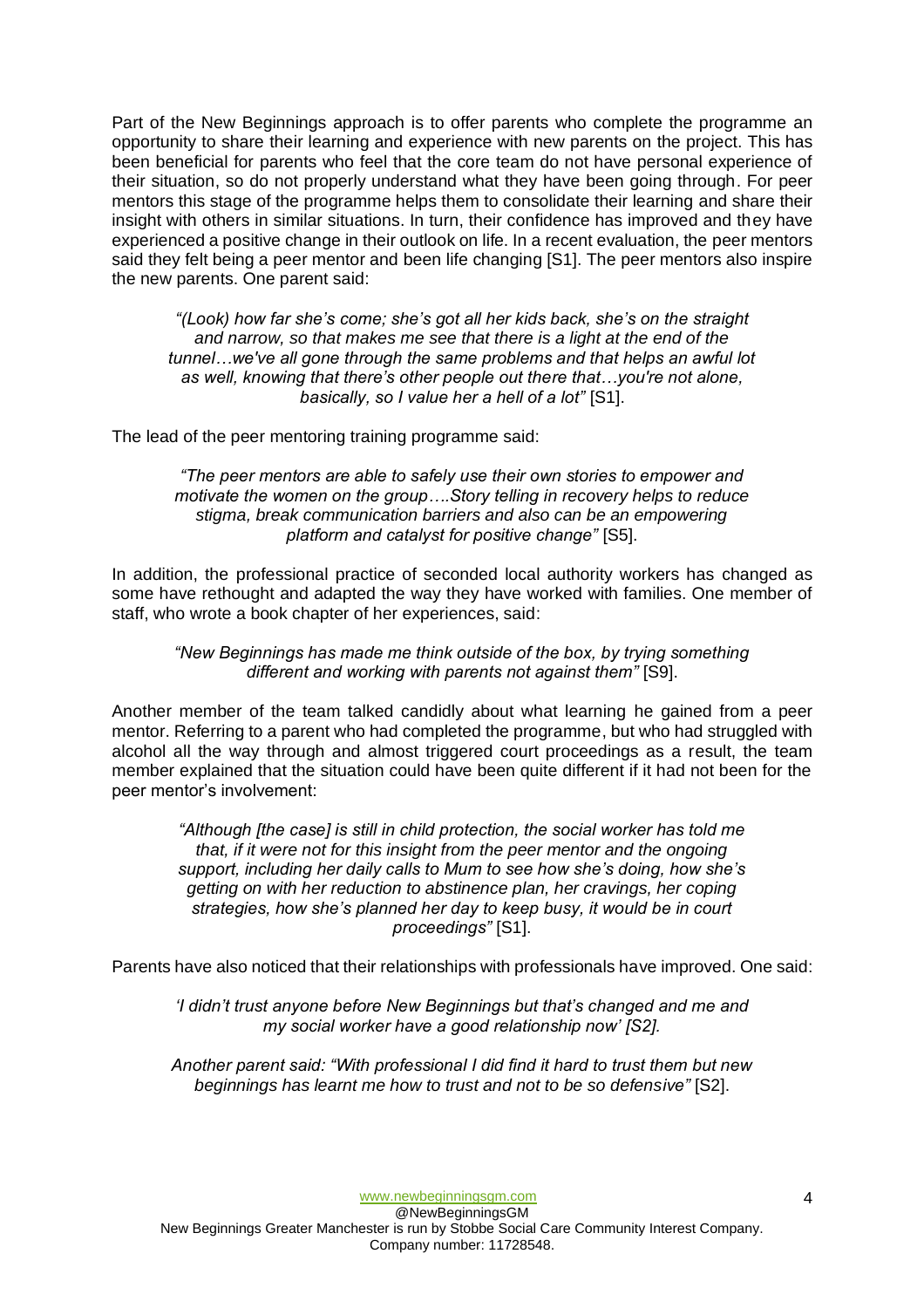Part of the New Beginnings approach is to offer parents who complete the programme an opportunity to share their learning and experience with new parents on the project. This has been beneficial for parents who feel that the core team do not have personal experience of their situation, so do not properly understand what they have been going through. For peer mentors this stage of the programme helps them to consolidate their learning and share their insight with others in similar situations. In turn, their confidence has improved and they have experienced a positive change in their outlook on life. In a recent evaluation, the peer mentors said they felt being a peer mentor and been life changing [S1]. The peer mentors also inspire the new parents. One parent said:

*"(Look) how far she's come; she's got all her kids back, she's on the straight and narrow, so that makes me see that there is a light at the end of the tunnel…we've all gone through the same problems and that helps an awful lot as well, knowing that there's other people out there that…you're not alone, basically, so I value her a hell of a lot"* [S1].

The lead of the peer mentoring training programme said:

*"The peer mentors are able to safely use their own stories to empower and motivate the women on the group….Story telling in recovery helps to reduce stigma, break communication barriers and also can be an empowering platform and catalyst for positive change"* [S5].

In addition, the professional practice of seconded local authority workers has changed as some have rethought and adapted the way they have worked with families. One member of staff, who wrote a book chapter of her experiences, said:

#### *"New Beginnings has made me think outside of the box, by trying something different and working with parents not against them"* [S9].

Another member of the team talked candidly about what learning he gained from a peer mentor. Referring to a parent who had completed the programme, but who had struggled with alcohol all the way through and almost triggered court proceedings as a result, the team member explained that the situation could have been quite different if it had not been for the peer mentor's involvement:

*"Although [the case] is still in child protection, the social worker has told me that, if it were not for this insight from the peer mentor and the ongoing support, including her daily calls to Mum to see how she's doing, how she's getting on with her reduction to abstinence plan, her cravings, her coping strategies, how she's planned her day to keep busy, it would be in court proceedings"* [S1].

Parents have also noticed that their relationships with professionals have improved. One said:

*'I didn't trust anyone before New Beginnings but that's changed and me and my social worker have a good relationship now' [S2].* 

*Another parent said: "With professional I did find it hard to trust them but new beginnings has learnt me how to trust and not to be so defensive"* [S2].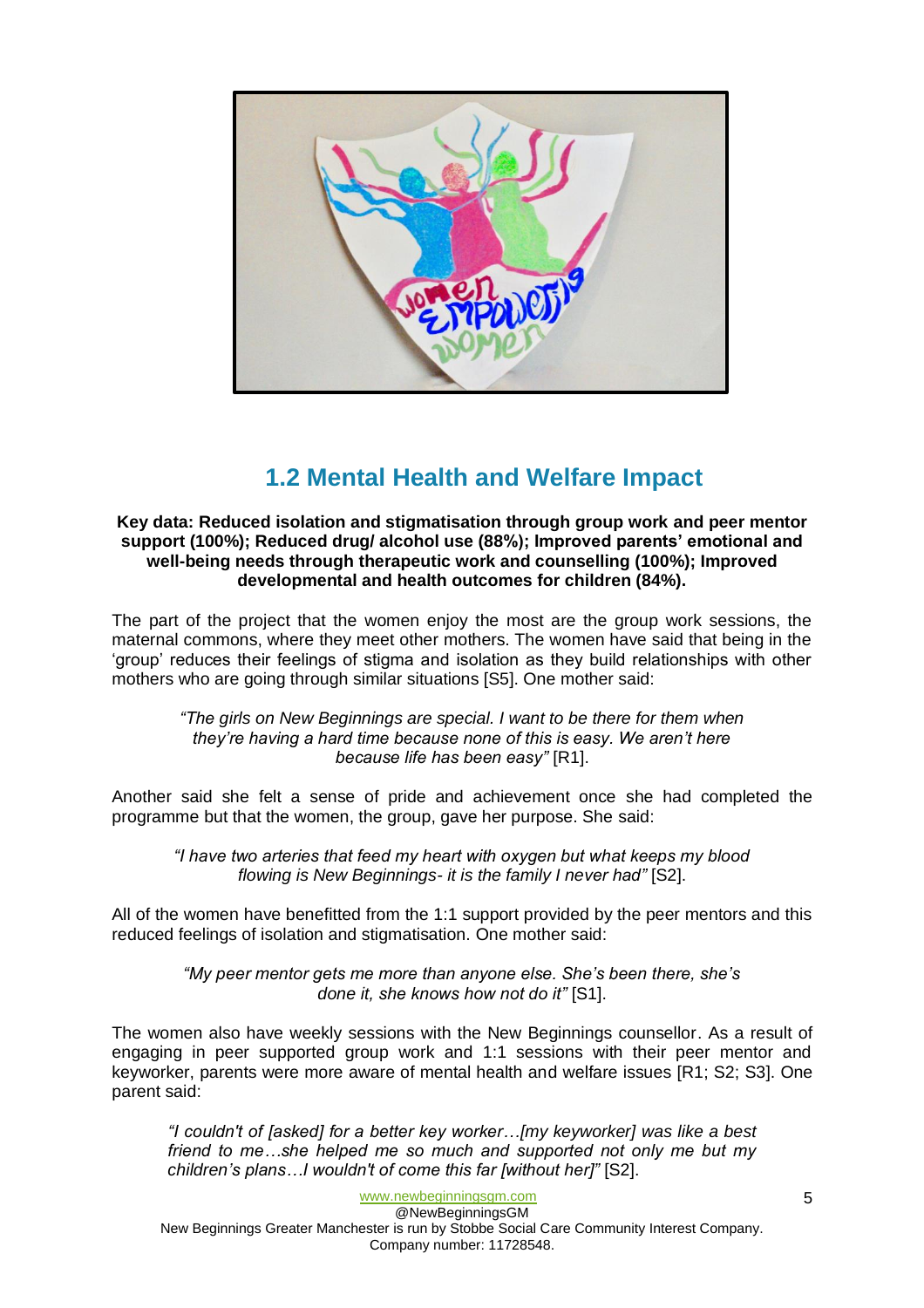<span id="page-5-0"></span>

## **1.2 Mental Health and Welfare Impact**

#### **Key data: Reduced isolation and stigmatisation through group work and peer mentor support (100%); Reduced drug/ alcohol use (88%); Improved parents' emotional and well-being needs through therapeutic work and counselling (100%); Improved developmental and health outcomes for children (84%).**

The part of the project that the women enjoy the most are the group work sessions, the maternal commons, where they meet other mothers. The women have said that being in the 'group' reduces their feelings of stigma and isolation as they build relationships with other mothers who are going through similar situations [S5]. One mother said:

#### *"The girls on New Beginnings are special. I want to be there for them when they're having a hard time because none of this is easy. We aren't here because life has been easy"* [R1].

Another said she felt a sense of pride and achievement once she had completed the programme but that the women, the group, gave her purpose. She said:

*"I have two arteries that feed my heart with oxygen but what keeps my blood flowing is New Beginnings- it is the family I never had"* [S2].

All of the women have benefitted from the 1:1 support provided by the peer mentors and this reduced feelings of isolation and stigmatisation. One mother said:

> *"My peer mentor gets me more than anyone else. She's been there, she's done it, she knows how not do it"* [S1].

The women also have weekly sessions with the New Beginnings counsellor. As a result of engaging in peer supported group work and 1:1 sessions with their peer mentor and keyworker, parents were more aware of mental health and welfare issues [R1; S2; S3]. One parent said:

*"I couldn't of [asked] for a better key worker…[my keyworker] was like a best friend to me…she helped me so much and supported not only me but my children's plans…I wouldn't of come this far [without her]"* [S2].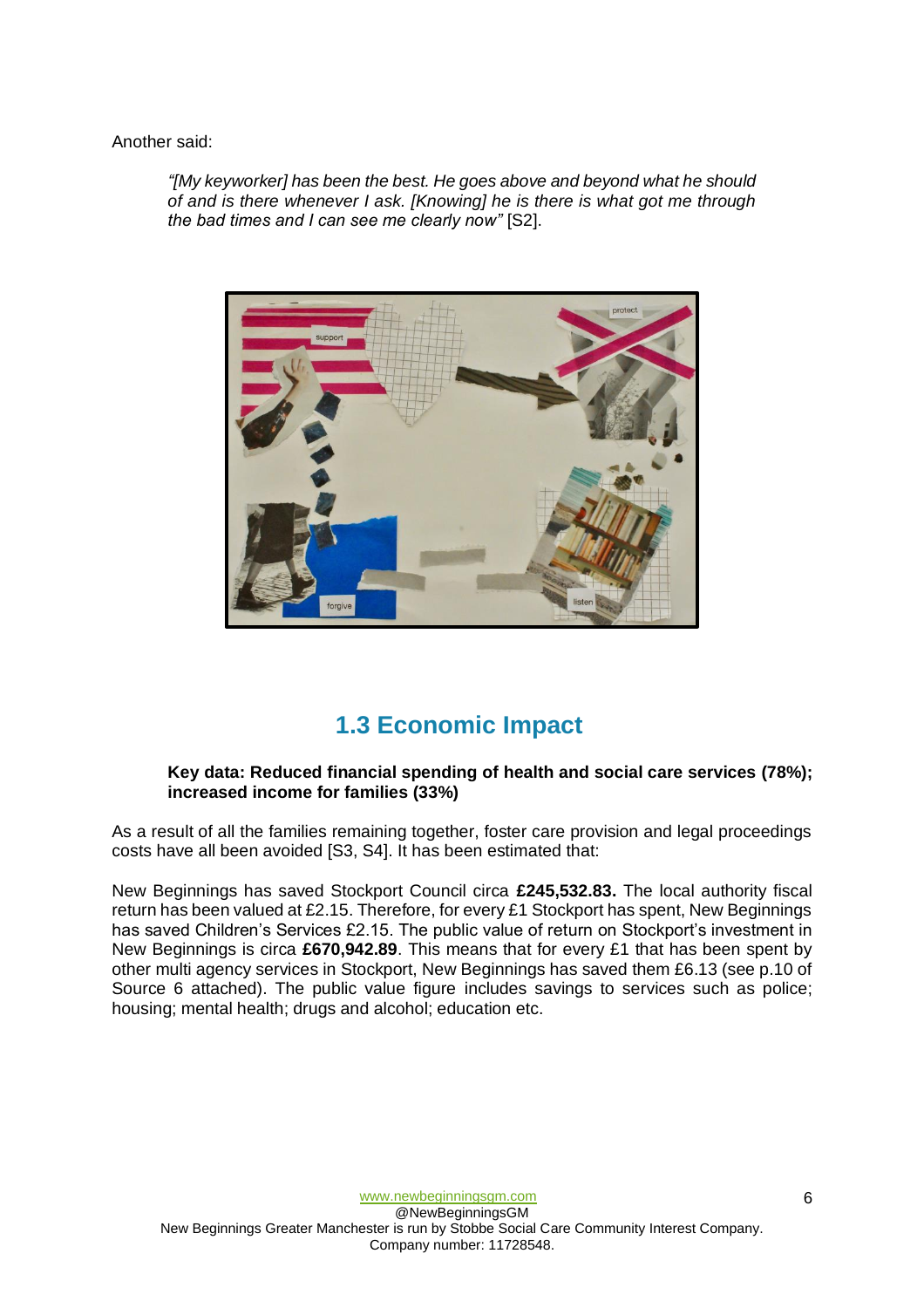Another said:

*"[My keyworker] has been the best. He goes above and beyond what he should of and is there whenever I ask. [Knowing] he is there is what got me through the bad times and I can see me clearly now"* [S2].

<span id="page-6-0"></span>

### **1.3 Economic Impact**

#### **Key data: Reduced financial spending of health and social care services (78%); increased income for families (33%)**

As a result of all the families remaining together, foster care provision and legal proceedings costs have all been avoided [S3, S4]. It has been estimated that:

New Beginnings has saved Stockport Council circa **£245,532.83.** The local authority fiscal return has been valued at £2.15. Therefore, for every £1 Stockport has spent, New Beginnings has saved Children's Services £2.15. The public value of return on Stockport's investment in New Beginnings is circa **£670,942.89**. This means that for every £1 that has been spent by other multi agency services in Stockport, New Beginnings has saved them £6.13 (see p.10 of Source 6 attached). The public value figure includes savings to services such as police; housing; mental health; drugs and alcohol; education etc.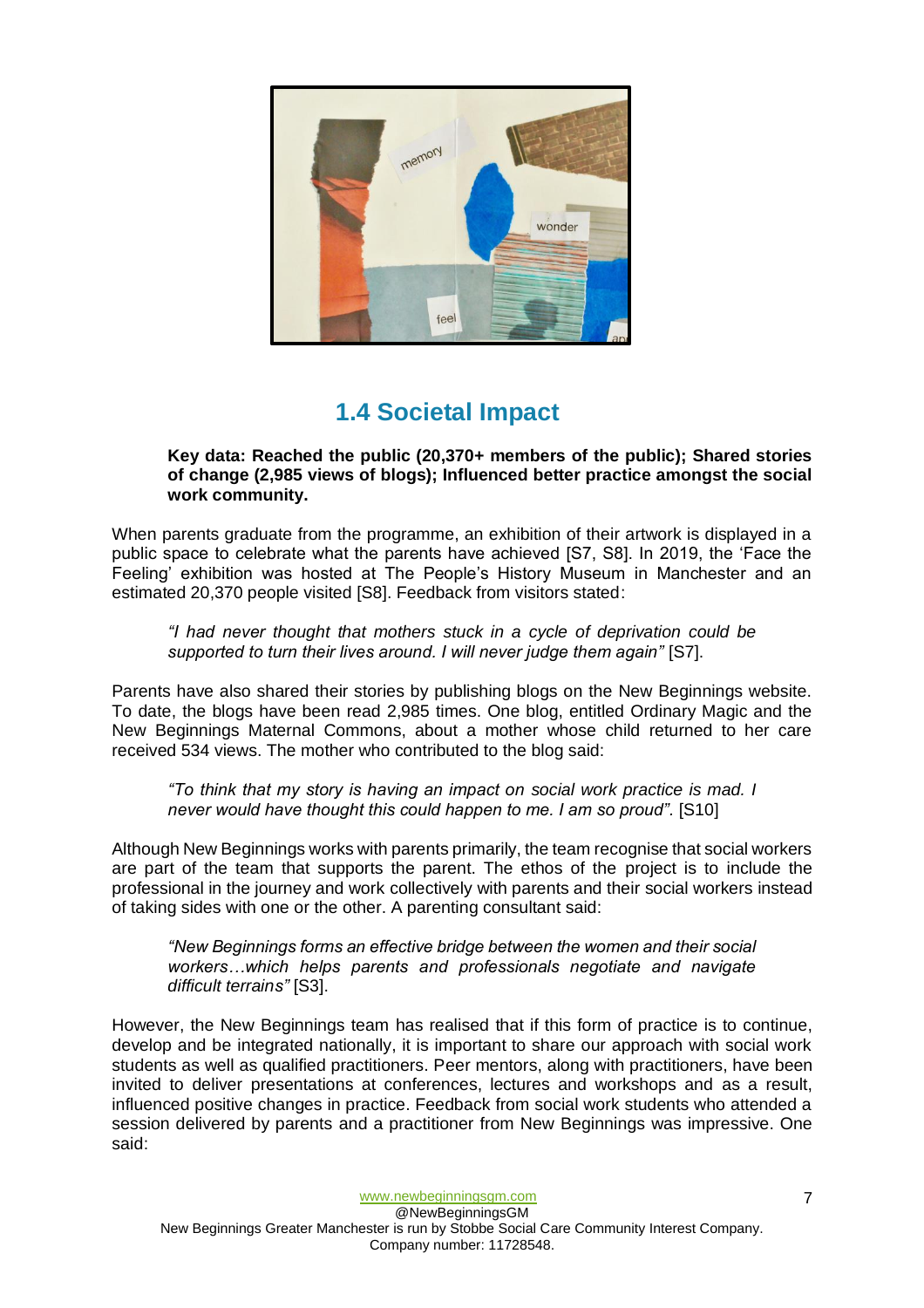<span id="page-7-0"></span>

## **1.4 Societal Impact**

**Key data: Reached the public (20,370+ members of the public); Shared stories of change (2,985 views of blogs); Influenced better practice amongst the social work community.** 

When parents graduate from the programme, an exhibition of their artwork is displayed in a public space to celebrate what the parents have achieved [S7, S8]. In 2019, the 'Face the Feeling' exhibition was hosted at The People's History Museum in Manchester and an estimated 20,370 people visited [S8]. Feedback from visitors stated:

*"I had never thought that mothers stuck in a cycle of deprivation could be supported to turn their lives around. I will never judge them again"* [S7].

Parents have also shared their stories by publishing blogs on the New Beginnings website. To date, the blogs have been read 2,985 times. One blog, entitled Ordinary Magic and the New Beginnings Maternal Commons, about a mother whose child returned to her care received 534 views. The mother who contributed to the blog said:

*"To think that my story is having an impact on social work practice is mad. I never would have thought this could happen to me. I am so proud".* [S10]

Although New Beginnings works with parents primarily, the team recognise that social workers are part of the team that supports the parent. The ethos of the project is to include the professional in the journey and work collectively with parents and their social workers instead of taking sides with one or the other. A parenting consultant said:

*"New Beginnings forms an effective bridge between the women and their social workers…which helps parents and professionals negotiate and navigate difficult terrains"* [S3].

However, the New Beginnings team has realised that if this form of practice is to continue, develop and be integrated nationally, it is important to share our approach with social work students as well as qualified practitioners. Peer mentors, along with practitioners, have been invited to deliver presentations at conferences, lectures and workshops and as a result, influenced positive changes in practice. Feedback from social work students who attended a session delivered by parents and a practitioner from New Beginnings was impressive. One said: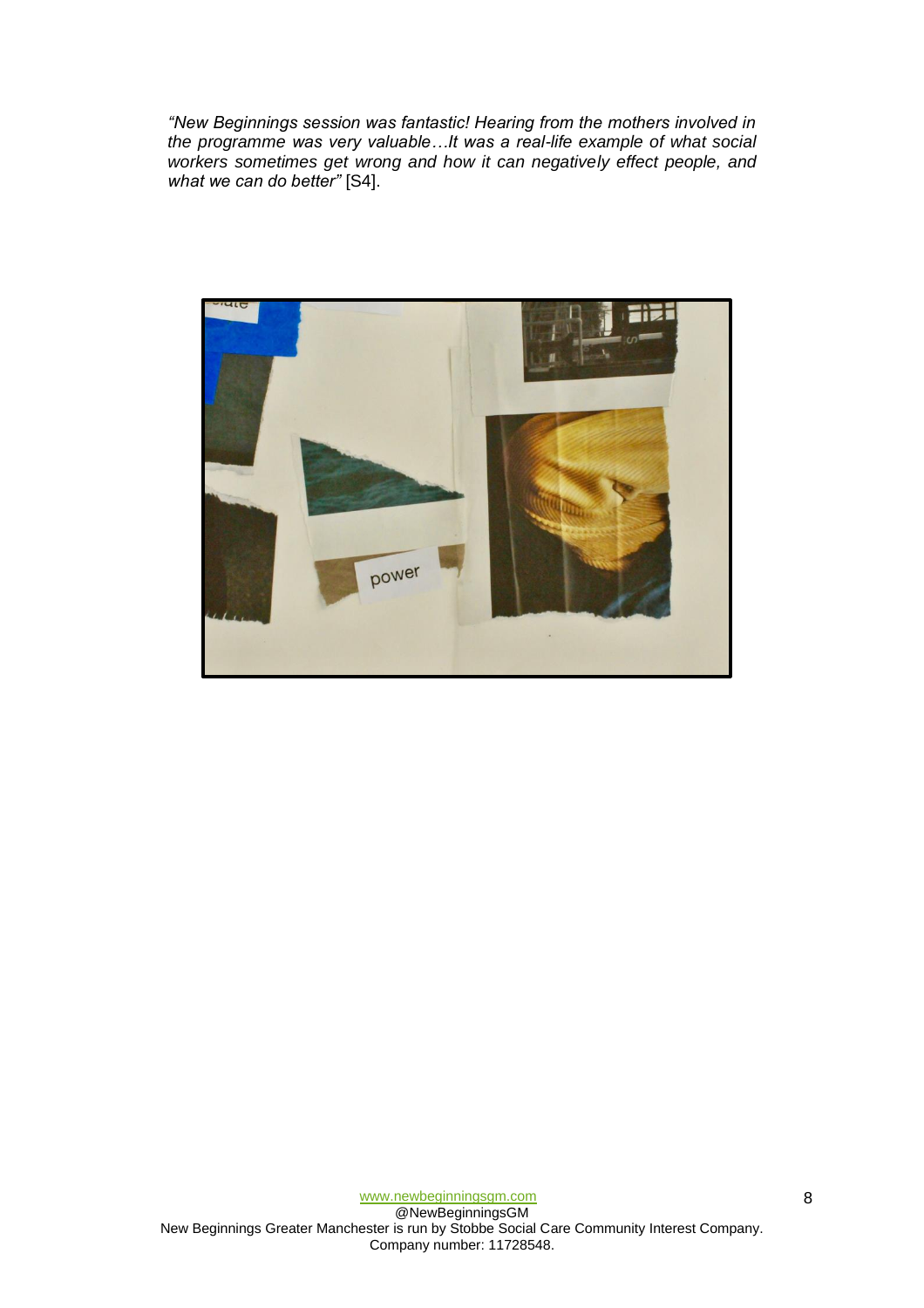*"New Beginnings session was fantastic! Hearing from the mothers involved in the programme was very valuable…It was a real-life example of what social workers sometimes get wrong and how it can negatively effect people, and what we can do better"* [S4].

<span id="page-8-0"></span>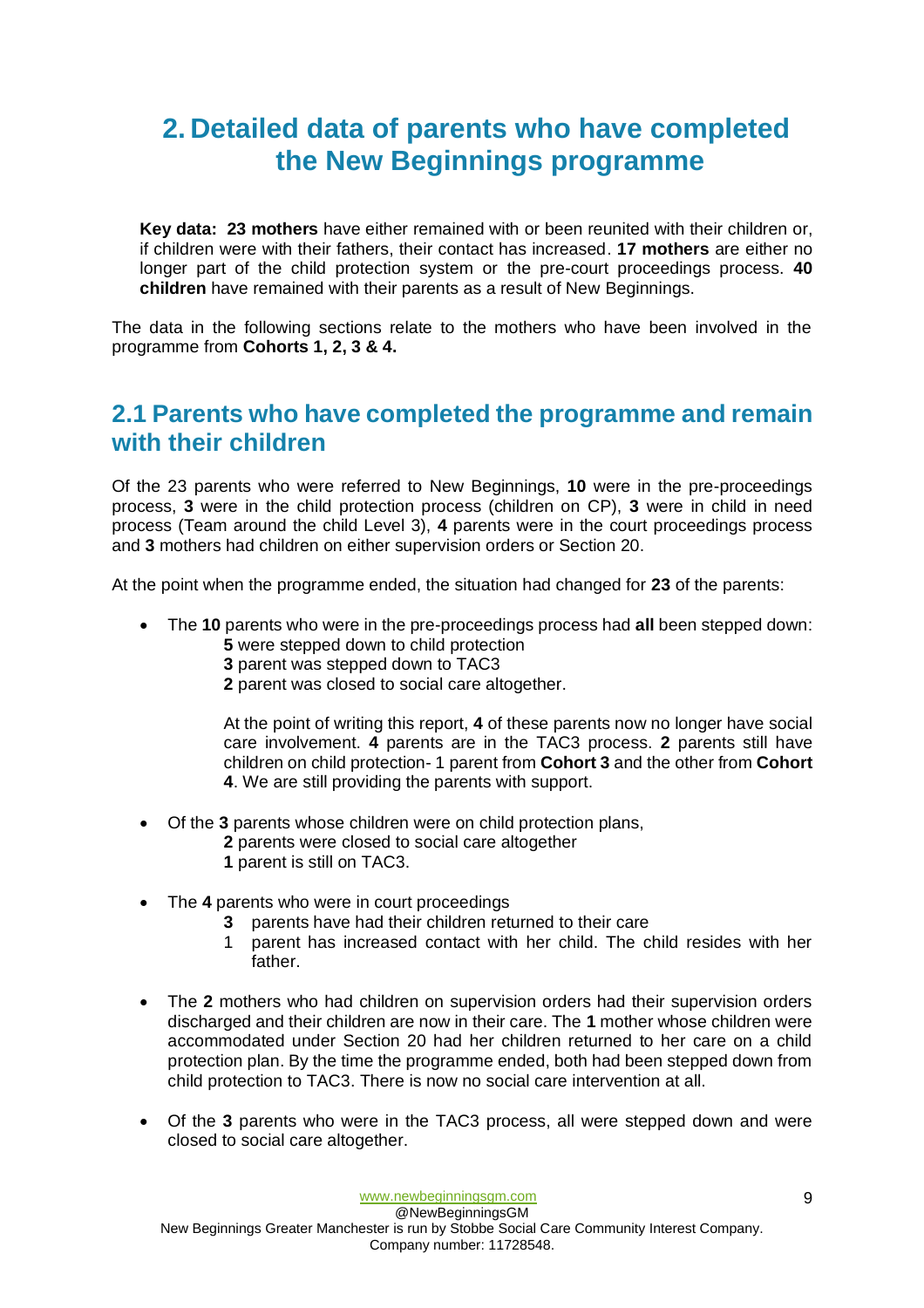# **2. Detailed data of parents who have completed the New Beginnings programme**

**Key data: 23 mothers** have either remained with or been reunited with their children or, if children were with their fathers, their contact has increased. **17 mothers** are either no longer part of the child protection system or the pre-court proceedings process. **40 children** have remained with their parents as a result of New Beginnings.

The data in the following sections relate to the mothers who have been involved in the programme from **Cohorts 1, 2, 3 & 4.**

#### <span id="page-9-0"></span>**2.1 Parents who have completed the programme and remain with their children**

Of the 23 parents who were referred to New Beginnings, **10** were in the pre-proceedings process, **3** were in the child protection process (children on CP), **3** were in child in need process (Team around the child Level 3), **4** parents were in the court proceedings process and **3** mothers had children on either supervision orders or Section 20.

At the point when the programme ended, the situation had changed for **23** of the parents:

- The **10** parents who were in the pre-proceedings process had **all** been stepped down: **5** were stepped down to child protection
	-
	- **3** parent was stepped down to TAC3
	- **2** parent was closed to social care altogether.

At the point of writing this report, **4** of these parents now no longer have social care involvement. **4** parents are in the TAC3 process. **2** parents still have children on child protection- 1 parent from **Cohort 3** and the other from **Cohort 4**. We are still providing the parents with support.

- Of the **3** parents whose children were on child protection plans,
	- **2** parents were closed to social care altogether
	- **1** parent is still on TAC3.
- The **4** parents who were in court proceedings
	- **3** parents have had their children returned to their care
	- 1 parent has increased contact with her child. The child resides with her father.
- The **2** mothers who had children on supervision orders had their supervision orders discharged and their children are now in their care. The **1** mother whose children were accommodated under Section 20 had her children returned to her care on a child protection plan. By the time the programme ended, both had been stepped down from child protection to TAC3. There is now no social care intervention at all.
- Of the **3** parents who were in the TAC3 process, all were stepped down and were closed to social care altogether.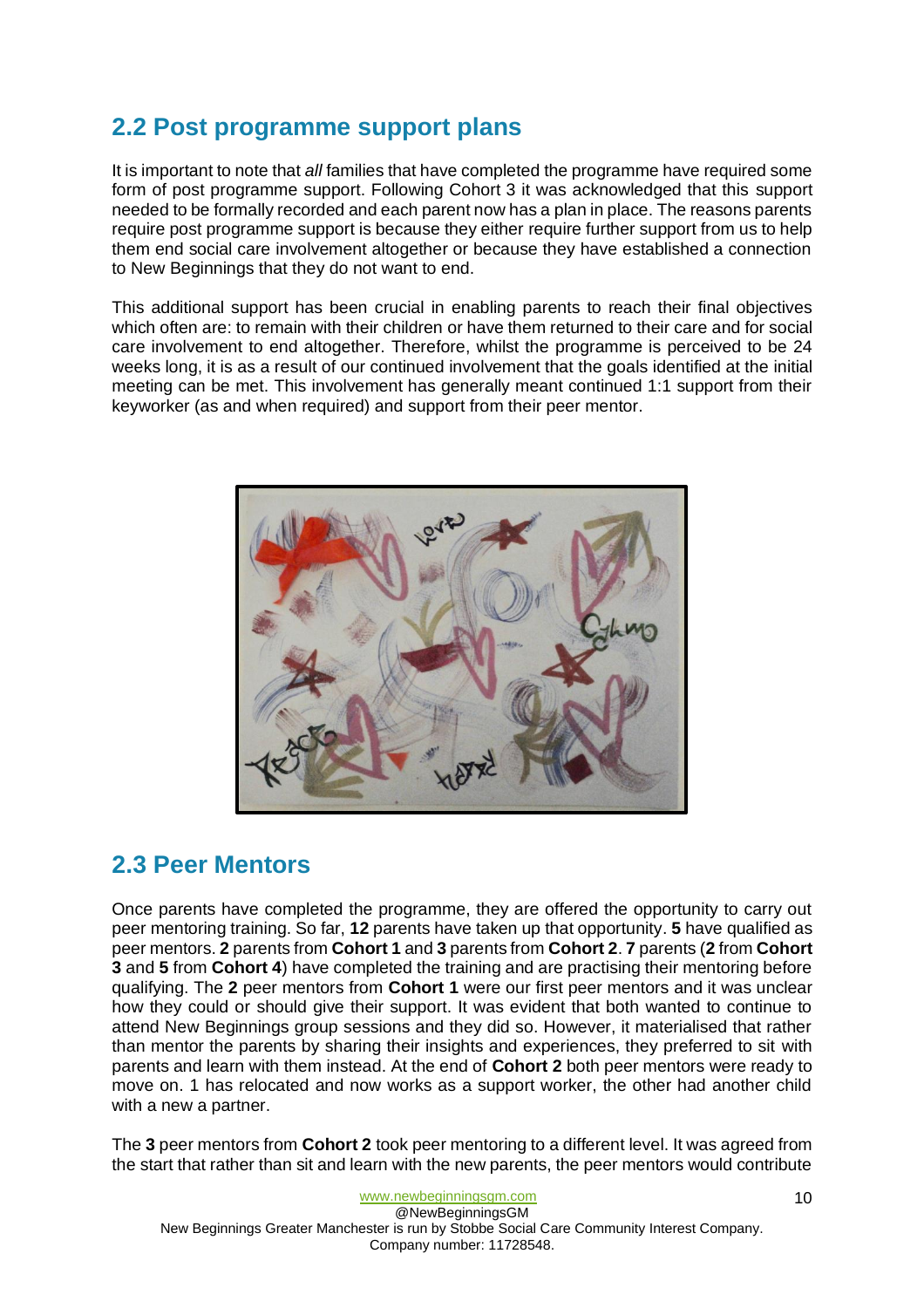## <span id="page-10-0"></span>**2.2 Post programme support plans**

It is important to note that *all* families that have completed the programme have required some form of post programme support. Following Cohort 3 it was acknowledged that this support needed to be formally recorded and each parent now has a plan in place. The reasons parents require post programme support is because they either require further support from us to help them end social care involvement altogether or because they have established a connection to New Beginnings that they do not want to end.

This additional support has been crucial in enabling parents to reach their final objectives which often are: to remain with their children or have them returned to their care and for social care involvement to end altogether. Therefore, whilst the programme is perceived to be 24 weeks long, it is as a result of our continued involvement that the goals identified at the initial meeting can be met. This involvement has generally meant continued 1:1 support from their keyworker (as and when required) and support from their peer mentor.

<span id="page-10-1"></span>

### **2.3 Peer Mentors**

Once parents have completed the programme, they are offered the opportunity to carry out peer mentoring training. So far, **12** parents have taken up that opportunity. **5** have qualified as peer mentors. **2** parents from **Cohort 1** and **3** parents from **Cohort 2**. **7** parents (**2** from **Cohort 3** and **5** from **Cohort 4**) have completed the training and are practising their mentoring before qualifying. The **2** peer mentors from **Cohort 1** were our first peer mentors and it was unclear how they could or should give their support. It was evident that both wanted to continue to attend New Beginnings group sessions and they did so. However, it materialised that rather than mentor the parents by sharing their insights and experiences, they preferred to sit with parents and learn with them instead. At the end of **Cohort 2** both peer mentors were ready to move on. 1 has relocated and now works as a support worker, the other had another child with a new a partner.

The **3** peer mentors from **Cohort 2** took peer mentoring to a different level. It was agreed from the start that rather than sit and learn with the new parents, the peer mentors would contribute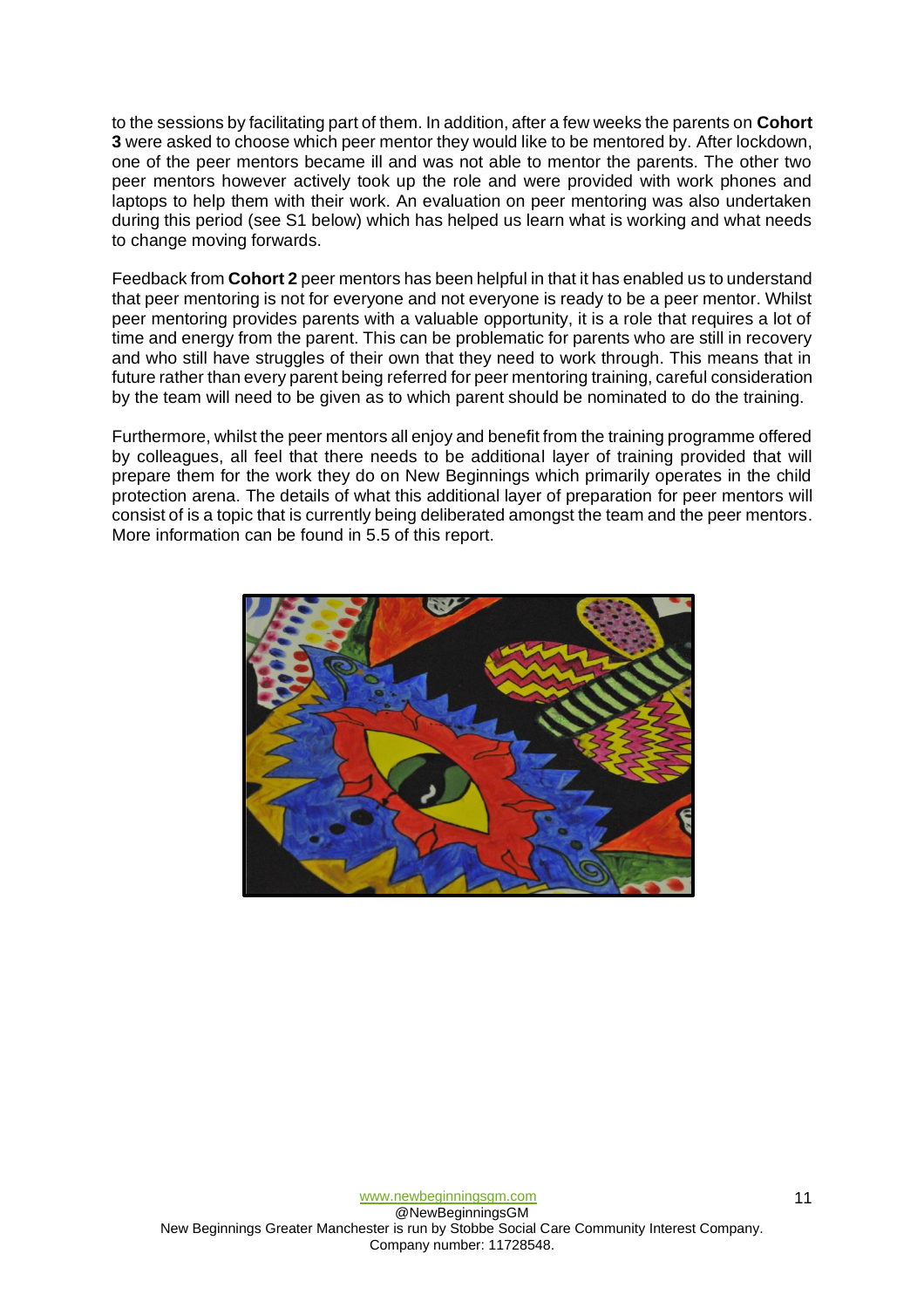to the sessions by facilitating part of them. In addition, after a few weeks the parents on **Cohort 3** were asked to choose which peer mentor they would like to be mentored by. After lockdown, one of the peer mentors became ill and was not able to mentor the parents. The other two peer mentors however actively took up the role and were provided with work phones and laptops to help them with their work. An evaluation on peer mentoring was also undertaken during this period (see S1 below) which has helped us learn what is working and what needs to change moving forwards.

Feedback from **Cohort 2** peer mentors has been helpful in that it has enabled us to understand that peer mentoring is not for everyone and not everyone is ready to be a peer mentor. Whilst peer mentoring provides parents with a valuable opportunity, it is a role that requires a lot of time and energy from the parent. This can be problematic for parents who are still in recovery and who still have struggles of their own that they need to work through. This means that in future rather than every parent being referred for peer mentoring training, careful consideration by the team will need to be given as to which parent should be nominated to do the training.

Furthermore, whilst the peer mentors all enjoy and benefit from the training programme offered by colleagues, all feel that there needs to be additional layer of training provided that will prepare them for the work they do on New Beginnings which primarily operates in the child protection arena. The details of what this additional layer of preparation for peer mentors will consist of is a topic that is currently being deliberated amongst the team and the peer mentors. More information can be found in 5.5 of this report.

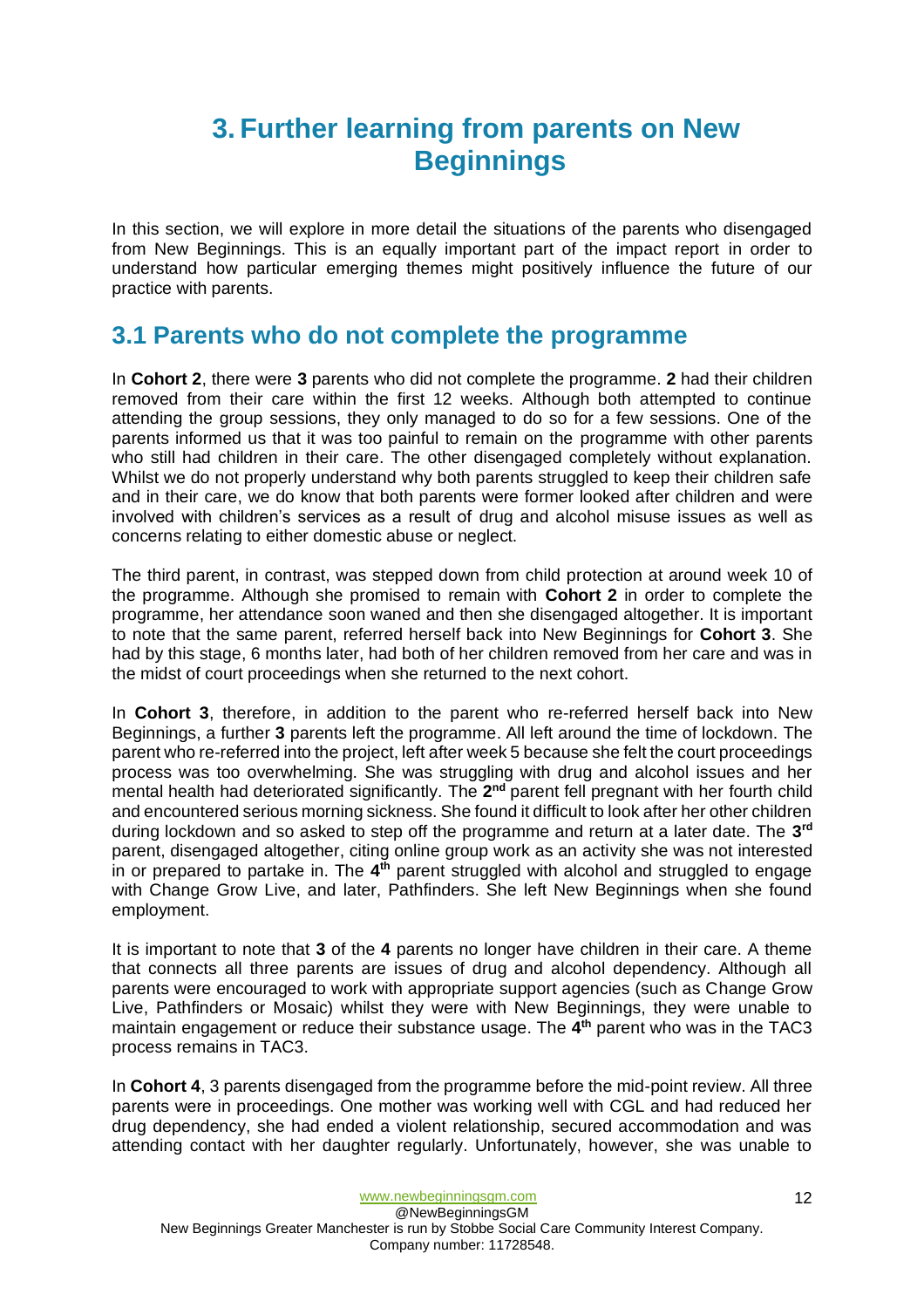# <span id="page-12-0"></span>**3. Further learning from parents on New Beginnings**

In this section, we will explore in more detail the situations of the parents who disengaged from New Beginnings. This is an equally important part of the impact report in order to understand how particular emerging themes might positively influence the future of our practice with parents.

#### <span id="page-12-1"></span>**3.1 Parents who do not complete the programme**

In **Cohort 2**, there were **3** parents who did not complete the programme. **2** had their children removed from their care within the first 12 weeks. Although both attempted to continue attending the group sessions, they only managed to do so for a few sessions. One of the parents informed us that it was too painful to remain on the programme with other parents who still had children in their care. The other disengaged completely without explanation. Whilst we do not properly understand why both parents struggled to keep their children safe and in their care, we do know that both parents were former looked after children and were involved with children's services as a result of drug and alcohol misuse issues as well as concerns relating to either domestic abuse or neglect.

The third parent, in contrast, was stepped down from child protection at around week 10 of the programme. Although she promised to remain with **Cohort 2** in order to complete the programme, her attendance soon waned and then she disengaged altogether. It is important to note that the same parent, referred herself back into New Beginnings for **Cohort 3**. She had by this stage, 6 months later, had both of her children removed from her care and was in the midst of court proceedings when she returned to the next cohort.

In **Cohort 3**, therefore, in addition to the parent who re-referred herself back into New Beginnings, a further **3** parents left the programme. All left around the time of lockdown. The parent who re-referred into the project, left after week 5 because she felt the court proceedings process was too overwhelming. She was struggling with drug and alcohol issues and her mental health had deteriorated significantly. The 2<sup>nd</sup> parent fell pregnant with her fourth child and encountered serious morning sickness. She found it difficult to look after her other children during lockdown and so asked to step off the programme and return at a later date. The **3 rd** parent, disengaged altogether, citing online group work as an activity she was not interested in or prepared to partake in. The 4<sup>th</sup> parent struggled with alcohol and struggled to engage with Change Grow Live, and later, Pathfinders. She left New Beginnings when she found employment.

It is important to note that **3** of the **4** parents no longer have children in their care. A theme that connects all three parents are issues of drug and alcohol dependency. Although all parents were encouraged to work with appropriate support agencies (such as Change Grow Live, Pathfinders or Mosaic) whilst they were with New Beginnings, they were unable to maintain engagement or reduce their substance usage. The 4<sup>th</sup> parent who was in the TAC3 process remains in TAC3.

In **Cohort 4**, 3 parents disengaged from the programme before the mid-point review. All three parents were in proceedings. One mother was working well with CGL and had reduced her drug dependency, she had ended a violent relationship, secured accommodation and was attending contact with her daughter regularly. Unfortunately, however, she was unable to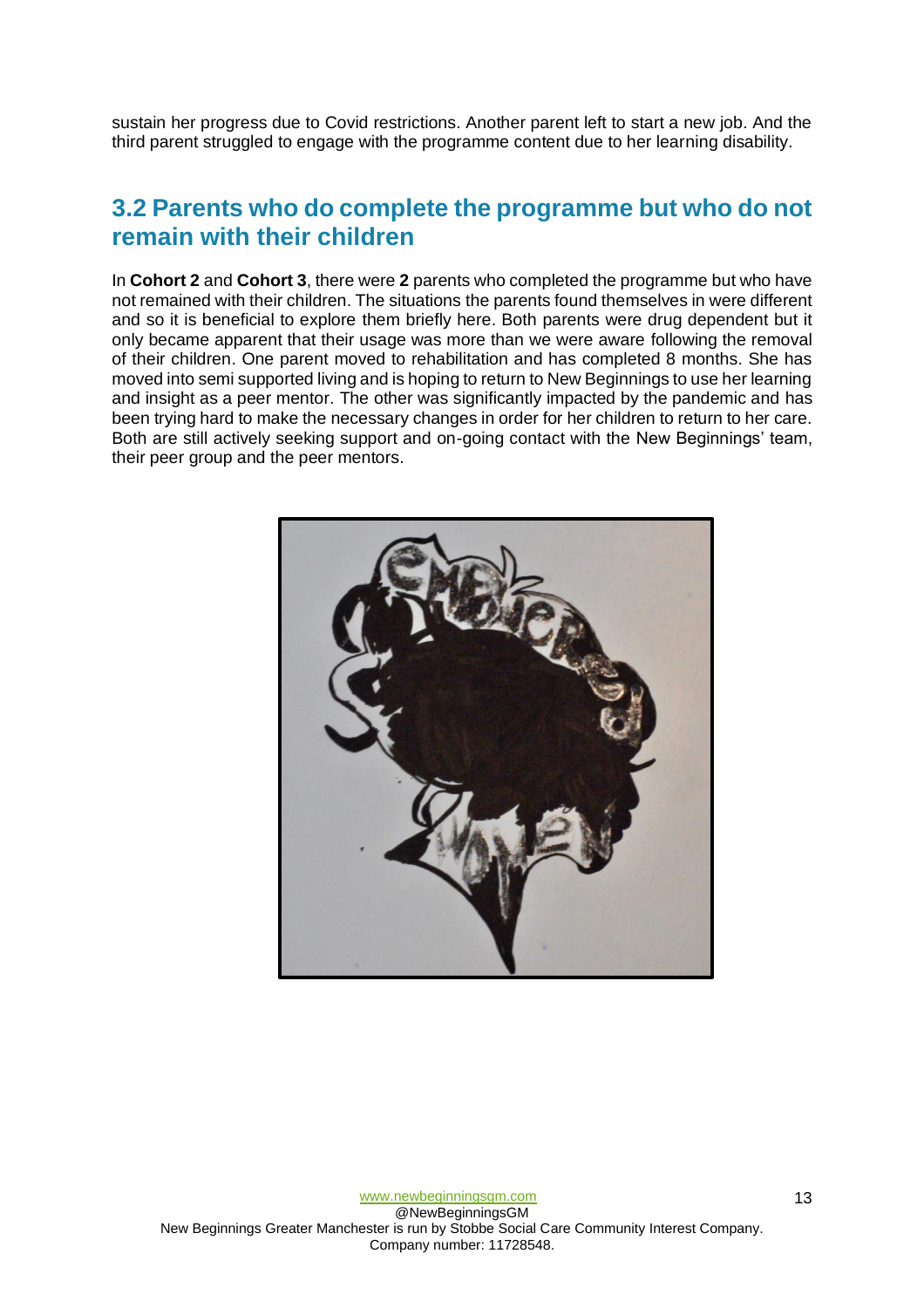sustain her progress due to Covid restrictions. Another parent left to start a new job. And the third parent struggled to engage with the programme content due to her learning disability.

#### <span id="page-13-0"></span>**3.2 Parents who do complete the programme but who do not remain with their children**

In **Cohort 2** and **Cohort 3**, there were **2** parents who completed the programme but who have not remained with their children. The situations the parents found themselves in were different and so it is beneficial to explore them briefly here. Both parents were drug dependent but it only became apparent that their usage was more than we were aware following the removal of their children. One parent moved to rehabilitation and has completed 8 months. She has moved into semi supported living and is hoping to return to New Beginnings to use her learning and insight as a peer mentor. The other was significantly impacted by the pandemic and has been trying hard to make the necessary changes in order for her children to return to her care. Both are still actively seeking support and on-going contact with the New Beginnings' team, their peer group and the peer mentors.

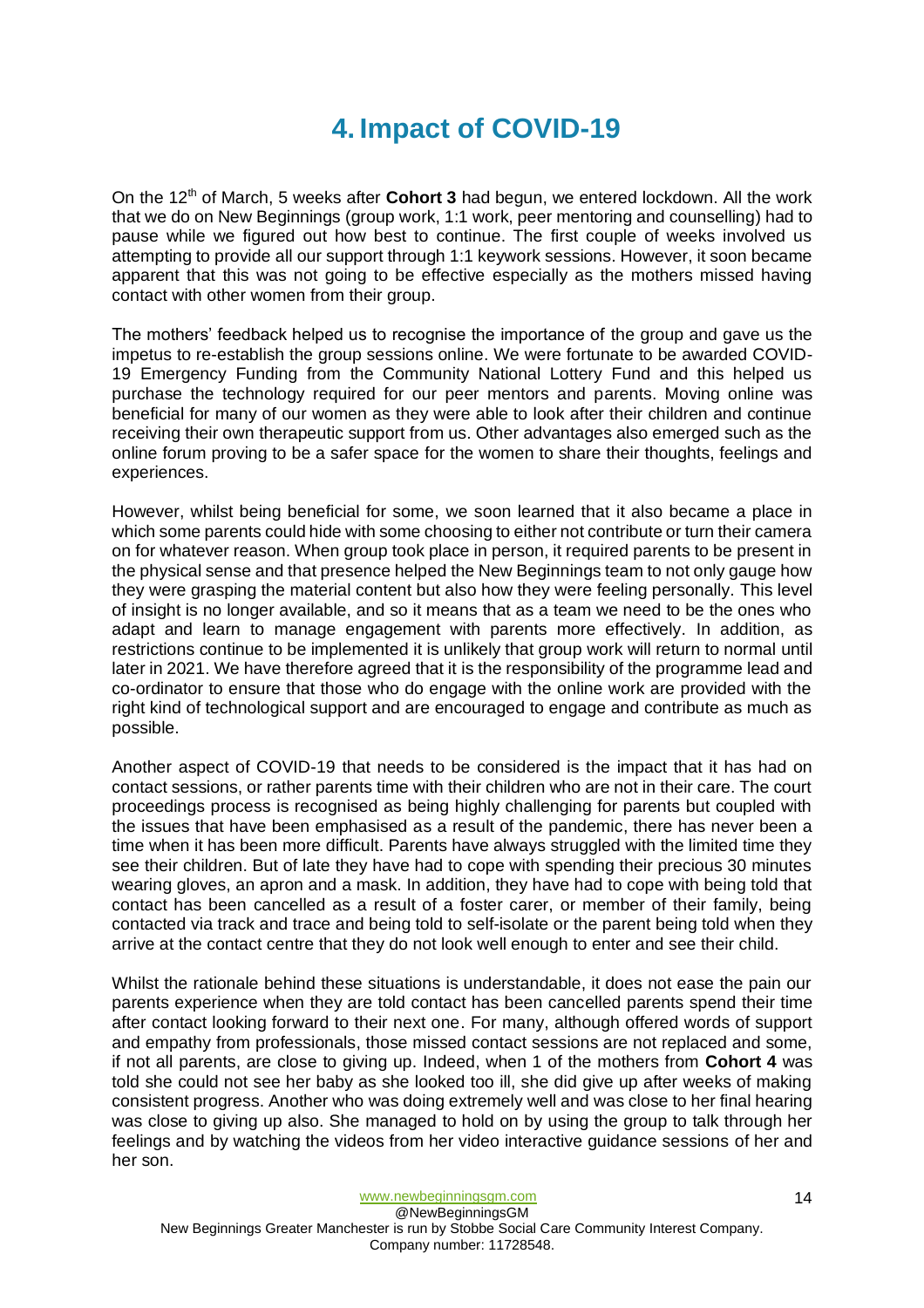# **4. Impact of COVID-19**

<span id="page-14-0"></span>On the 12<sup>th</sup> of March, 5 weeks after **Cohort 3** had begun, we entered lockdown. All the work that we do on New Beginnings (group work, 1:1 work, peer mentoring and counselling) had to pause while we figured out how best to continue. The first couple of weeks involved us attempting to provide all our support through 1:1 keywork sessions. However, it soon became apparent that this was not going to be effective especially as the mothers missed having contact with other women from their group.

The mothers' feedback helped us to recognise the importance of the group and gave us the impetus to re-establish the group sessions online. We were fortunate to be awarded COVID-19 Emergency Funding from the Community National Lottery Fund and this helped us purchase the technology required for our peer mentors and parents. Moving online was beneficial for many of our women as they were able to look after their children and continue receiving their own therapeutic support from us. Other advantages also emerged such as the online forum proving to be a safer space for the women to share their thoughts, feelings and experiences.

However, whilst being beneficial for some, we soon learned that it also became a place in which some parents could hide with some choosing to either not contribute or turn their camera on for whatever reason. When group took place in person, it required parents to be present in the physical sense and that presence helped the New Beginnings team to not only gauge how they were grasping the material content but also how they were feeling personally. This level of insight is no longer available, and so it means that as a team we need to be the ones who adapt and learn to manage engagement with parents more effectively. In addition, as restrictions continue to be implemented it is unlikely that group work will return to normal until later in 2021. We have therefore agreed that it is the responsibility of the programme lead and co-ordinator to ensure that those who do engage with the online work are provided with the right kind of technological support and are encouraged to engage and contribute as much as possible.

Another aspect of COVID-19 that needs to be considered is the impact that it has had on contact sessions, or rather parents time with their children who are not in their care. The court proceedings process is recognised as being highly challenging for parents but coupled with the issues that have been emphasised as a result of the pandemic, there has never been a time when it has been more difficult. Parents have always struggled with the limited time they see their children. But of late they have had to cope with spending their precious 30 minutes wearing gloves, an apron and a mask. In addition, they have had to cope with being told that contact has been cancelled as a result of a foster carer, or member of their family, being contacted via track and trace and being told to self-isolate or the parent being told when they arrive at the contact centre that they do not look well enough to enter and see their child.

Whilst the rationale behind these situations is understandable, it does not ease the pain our parents experience when they are told contact has been cancelled parents spend their time after contact looking forward to their next one. For many, although offered words of support and empathy from professionals, those missed contact sessions are not replaced and some, if not all parents, are close to giving up. Indeed, when 1 of the mothers from **Cohort 4** was told she could not see her baby as she looked too ill, she did give up after weeks of making consistent progress. Another who was doing extremely well and was close to her final hearing was close to giving up also. She managed to hold on by using the group to talk through her feelings and by watching the videos from her video interactive guidance sessions of her and her son.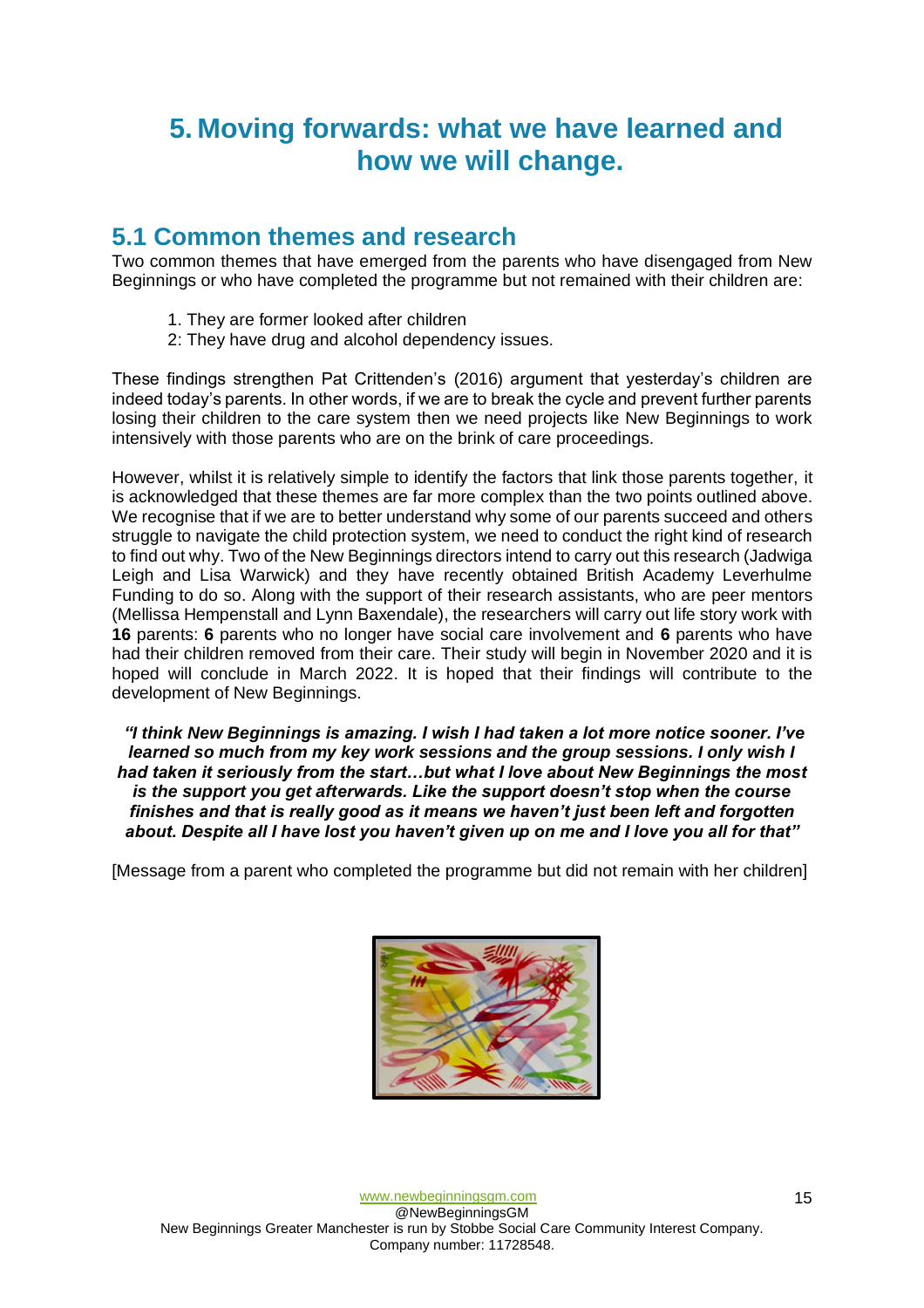# <span id="page-15-0"></span>**5. Moving forwards: what we have learned and how we will change.**

#### <span id="page-15-1"></span>**5.1 Common themes and research**

Two common themes that have emerged from the parents who have disengaged from New Beginnings or who have completed the programme but not remained with their children are:

- 1. They are former looked after children
- 2: They have drug and alcohol dependency issues.

These findings strengthen Pat Crittenden's (2016) argument that yesterday's children are indeed today's parents. In other words, if we are to break the cycle and prevent further parents losing their children to the care system then we need projects like New Beginnings to work intensively with those parents who are on the brink of care proceedings.

However, whilst it is relatively simple to identify the factors that link those parents together, it is acknowledged that these themes are far more complex than the two points outlined above. We recognise that if we are to better understand why some of our parents succeed and others struggle to navigate the child protection system, we need to conduct the right kind of research to find out why. Two of the New Beginnings directors intend to carry out this research (Jadwiga Leigh and Lisa Warwick) and they have recently obtained British Academy Leverhulme Funding to do so. Along with the support of their research assistants, who are peer mentors (Mellissa Hempenstall and Lynn Baxendale), the researchers will carry out life story work with **16** parents: **6** parents who no longer have social care involvement and **6** parents who have had their children removed from their care. Their study will begin in November 2020 and it is hoped will conclude in March 2022. It is hoped that their findings will contribute to the development of New Beginnings.

*"I think New Beginnings is amazing. I wish I had taken a lot more notice sooner. I've learned so much from my key work sessions and the group sessions. I only wish I had taken it seriously from the start…but what I love about New Beginnings the most is the support you get afterwards. Like the support doesn't stop when the course finishes and that is really good as it means we haven't just been left and forgotten about. Despite all I have lost you haven't given up on me and I love you all for that"*

<span id="page-15-2"></span>[Message from a parent who completed the programme but did not remain with her children]

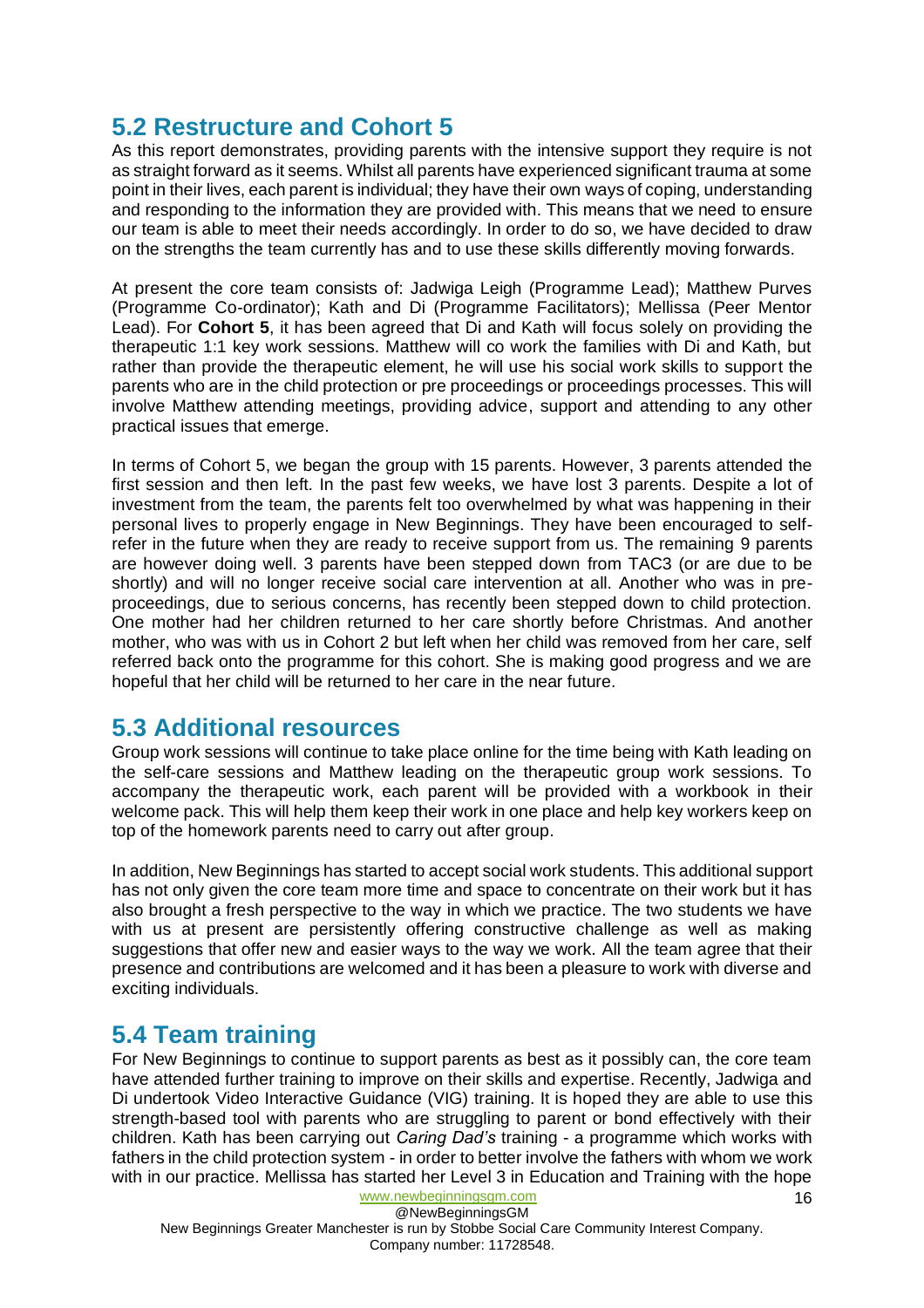### **5.2 Restructure and Cohort 5**

As this report demonstrates, providing parents with the intensive support they require is not as straight forward as it seems. Whilst all parents have experienced significant trauma at some point in their lives, each parent is individual; they have their own ways of coping, understanding and responding to the information they are provided with. This means that we need to ensure our team is able to meet their needs accordingly. In order to do so, we have decided to draw on the strengths the team currently has and to use these skills differently moving forwards.

At present the core team consists of: Jadwiga Leigh (Programme Lead); Matthew Purves (Programme Co-ordinator); Kath and Di (Programme Facilitators); Mellissa (Peer Mentor Lead). For **Cohort 5**, it has been agreed that Di and Kath will focus solely on providing the therapeutic 1:1 key work sessions. Matthew will co work the families with Di and Kath, but rather than provide the therapeutic element, he will use his social work skills to support the parents who are in the child protection or pre proceedings or proceedings processes. This will involve Matthew attending meetings, providing advice, support and attending to any other practical issues that emerge.

In terms of Cohort 5, we began the group with 15 parents. However, 3 parents attended the first session and then left. In the past few weeks, we have lost 3 parents. Despite a lot of investment from the team, the parents felt too overwhelmed by what was happening in their personal lives to properly engage in New Beginnings. They have been encouraged to selfrefer in the future when they are ready to receive support from us. The remaining 9 parents are however doing well. 3 parents have been stepped down from TAC3 (or are due to be shortly) and will no longer receive social care intervention at all. Another who was in preproceedings, due to serious concerns, has recently been stepped down to child protection. One mother had her children returned to her care shortly before Christmas. And another mother, who was with us in Cohort 2 but left when her child was removed from her care, self referred back onto the programme for this cohort. She is making good progress and we are hopeful that her child will be returned to her care in the near future.

#### <span id="page-16-0"></span>**5.3 Additional resources**

Group work sessions will continue to take place online for the time being with Kath leading on the self-care sessions and Matthew leading on the therapeutic group work sessions. To accompany the therapeutic work, each parent will be provided with a workbook in their welcome pack. This will help them keep their work in one place and help key workers keep on top of the homework parents need to carry out after group.

In addition, New Beginnings has started to accept social work students. This additional support has not only given the core team more time and space to concentrate on their work but it has also brought a fresh perspective to the way in which we practice. The two students we have with us at present are persistently offering constructive challenge as well as making suggestions that offer new and easier ways to the way we work. All the team agree that their presence and contributions are welcomed and it has been a pleasure to work with diverse and exciting individuals.

### <span id="page-16-1"></span>**5.4 Team training**

[www.newbeginningsgm.com](http://www.newbeginningsgm.com/) For New Beginnings to continue to support parents as best as it possibly can, the core team have attended further training to improve on their skills and expertise. Recently, Jadwiga and Di undertook Video Interactive Guidance (VIG) training. It is hoped they are able to use this strength-based tool with parents who are struggling to parent or bond effectively with their children. Kath has been carrying out *Caring Dad's* training - a programme which works with fathers in the child protection system - in order to better involve the fathers with whom we work with in our practice. Mellissa has started her Level 3 in Education and Training with the hope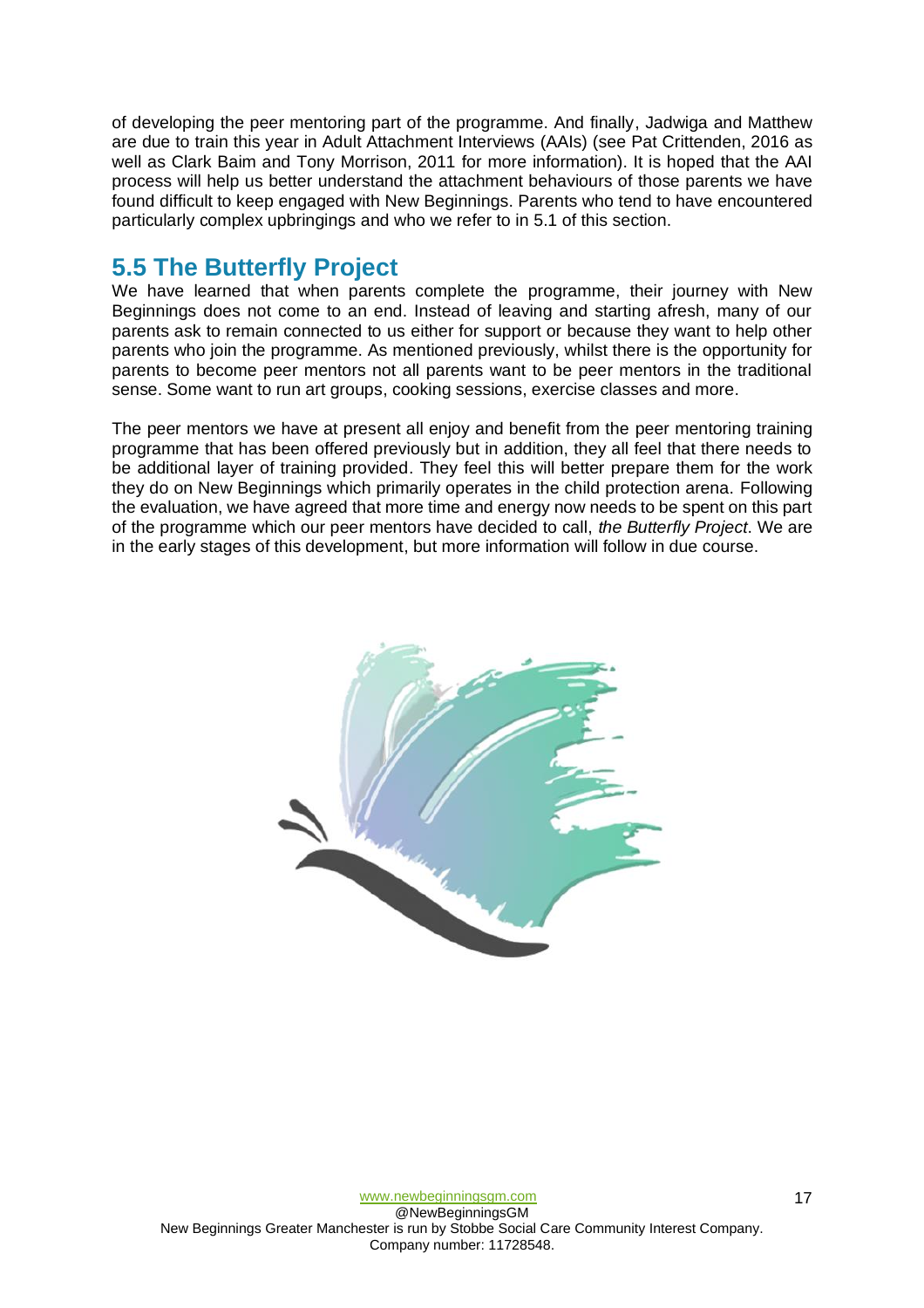of developing the peer mentoring part of the programme. And finally, Jadwiga and Matthew are due to train this year in Adult Attachment Interviews (AAIs) (see Pat Crittenden, 2016 as well as Clark Baim and Tony Morrison, 2011 for more information). It is hoped that the AAI process will help us better understand the attachment behaviours of those parents we have found difficult to keep engaged with New Beginnings. Parents who tend to have encountered particularly complex upbringings and who we refer to in 5.1 of this section.

#### <span id="page-17-0"></span>**5.5 The Butterfly Project**

We have learned that when parents complete the programme, their journey with New Beginnings does not come to an end. Instead of leaving and starting afresh, many of our parents ask to remain connected to us either for support or because they want to help other parents who join the programme. As mentioned previously, whilst there is the opportunity for parents to become peer mentors not all parents want to be peer mentors in the traditional sense. Some want to run art groups, cooking sessions, exercise classes and more.

The peer mentors we have at present all enjoy and benefit from the peer mentoring training programme that has been offered previously but in addition, they all feel that there needs to be additional layer of training provided. They feel this will better prepare them for the work they do on New Beginnings which primarily operates in the child protection arena. Following the evaluation, we have agreed that more time and energy now needs to be spent on this part of the programme which our peer mentors have decided to call, *the Butterfly Project*. We are in the early stages of this development, but more information will follow in due course.